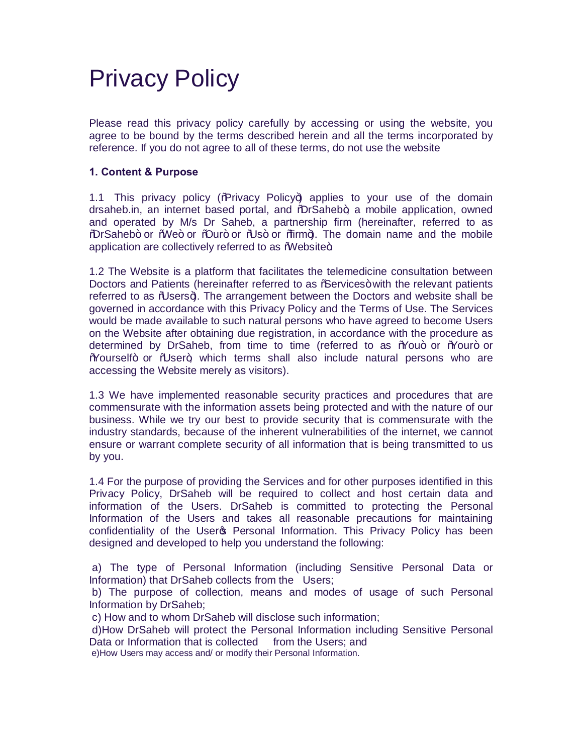# Privacy Policy

Please read this privacy policy carefully by accessing or using the website, you agree to be bound by the terms described herein and all the terms incorporated by reference. If you do not agree to all of these terms, do not use the website

# **1. Content & Purpose**

1.1 This privacy policy ( $\%$ rivacy Policy $\leftrightarrow$  applies to your use of the domain drsaheb.in, an internet based portal, and %DrSaheb+, a mobile application, owned and operated by M/s Dr Saheb, a partnership firm (hereinafter, referred to as %DrSaheb+ or %We+ or %Dur+ or %Us+ or %tirm+). The domain name and the mobile application are collectively referred to as Website+.

1.2 The Website is a platform that facilitates the telemedicine consultation between Doctors and Patients (hereinafter referred to as % ervices + with the relevant patients referred to as *Nusers+*). The arrangement between the Doctors and website shall be governed in accordance with this Privacy Policy and the Terms of Use. The Services would be made available to such natural persons who have agreed to become Users on the Website after obtaining due registration, in accordance with the procedure as determined by DrSaheb, from time to time (referred to as %60u+ or %60ur+ or "Yourself" or "User", which terms shall also include natural persons who are accessing the Website merely as visitors).

1.3 We have implemented reasonable security practices and procedures that are commensurate with the information assets being protected and with the nature of our business. While we try our best to provide security that is commensurate with the industry standards, because of the inherent vulnerabilities of the internet, we cannot ensure or warrant complete security of all information that is being transmitted to us by you.

1.4 For the purpose of providing the Services and for other purposes identified in this Privacy Policy, DrSaheb will be required to collect and host certain data and information of the Users. DrSaheb is committed to protecting the Personal Information of the Users and takes all reasonable precautions for maintaining confidentiality of the User & Personal Information. This Privacy Policy has been designed and developed to help you understand the following:

a) The type of Personal Information (including Sensitive Personal Data or Information) that DrSaheb collects from the Users;

b) The purpose of collection, means and modes of usage of such Personal Information by DrSaheb;

c) How and to whom DrSaheb will disclose such information;

d)How DrSaheb will protect the Personal Information including Sensitive Personal Data or Information that is collected from the Users: and

e)How Users may access and/ or modify their Personal Information.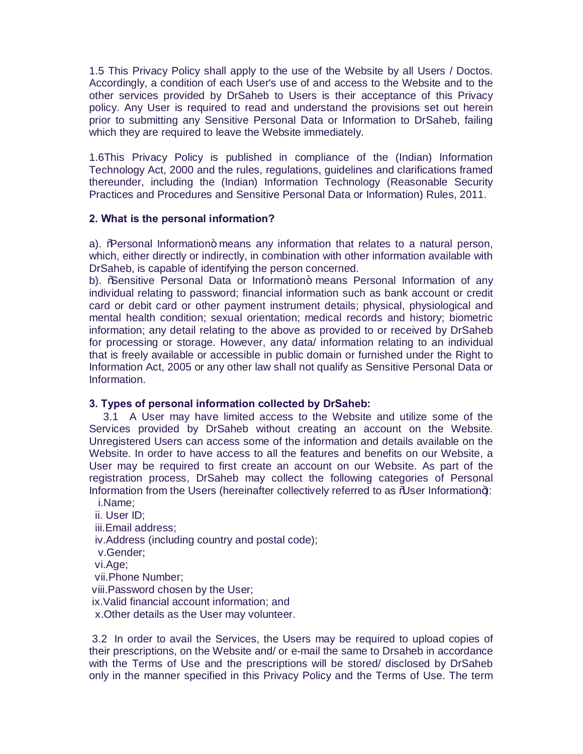1.5 This Privacy Policy shall apply to the use of the Website by all Users / Doctos. Accordingly, a condition of each User's use of and access to the Website and to the other services provided by DrSaheb to Users is their acceptance of this Privacy policy. Any User is required to read and understand the provisions set out herein prior to submitting any Sensitive Personal Data or Information to DrSaheb, failing which they are required to leave the Website immediately.

1.6This Privacy Policy is published in compliance of the (Indian) Information Technology Act, 2000 and the rules, regulations, guidelines and clarifications framed thereunder, including the (Indian) Information Technology (Reasonable Security Practices and Procedures and Sensitive Personal Data or Information) Rules, 2011.

## **2. What is the personal information?**

a). Whersonal Information+ means any information that relates to a natural person, which, either directly or indirectly, in combination with other information available with DrSaheb, is capable of identifying the person concerned.

b). % Sensitive Personal Data or Information+ means Personal Information of any individual relating to password; financial information such as bank account or credit card or debit card or other payment instrument details; physical, physiological and mental health condition; sexual orientation; medical records and history; biometric information; any detail relating to the above as provided to or received by DrSaheb for processing or storage. However, any data/ information relating to an individual that is freely available or accessible in public domain or furnished under the Right to Information Act, 2005 or any other law shall not qualify as Sensitive Personal Data or Information.

# **3. Types of personal information collected by DrSaheb:**

3.1 A User may have limited access to the Website and utilize some of the Services provided by DrSaheb without creating an account on the Website. Unregistered Users can access some of the information and details available on the Website. In order to have access to all the features and benefits on our Website, a User may be required to first create an account on our Website. As part of the registration process, DrSaheb may collect the following categories of Personal Information from the Users (hereinafter collectively referred to as %User Information+): i.Name;

ii. User ID; iii.Email address; iv.Address (including country and postal code); v.Gender; vi.Age; vii.Phone Number; viii.Password chosen by the User; ix.Valid financial account information; and x.Other details as the User may volunteer.

3.2 In order to avail the Services, the Users may be required to upload copies of their prescriptions, on the Website and/ or e-mail the same to Drsaheb in accordance with the Terms of Use and the prescriptions will be stored/ disclosed by DrSaheb only in the manner specified in this Privacy Policy and the Terms of Use. The term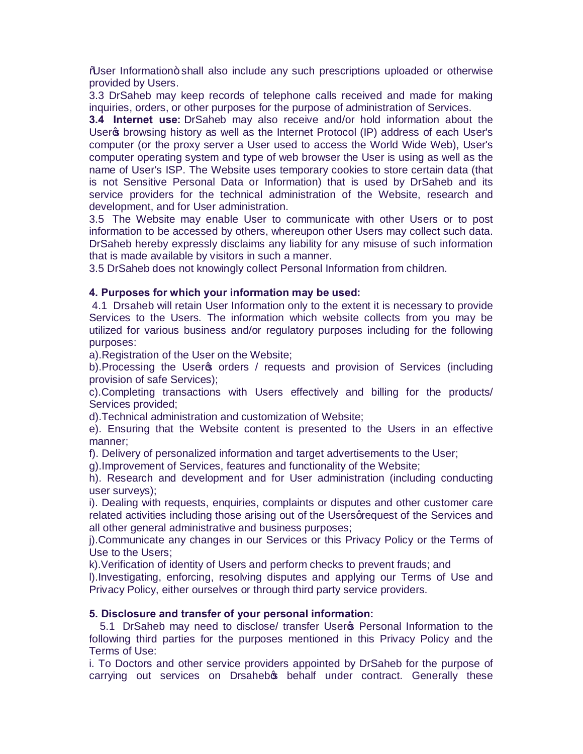"User Information" shall also include any such prescriptions uploaded or otherwise provided by Users.

3.3 DrSaheb may keep records of telephone calls received and made for making inquiries, orders, or other purposes for the purpose of administration of Services.

**3.4 Internet use:** DrSaheb may also receive and/or hold information about the User<sub>g</sub> browsing history as well as the Internet Protocol (IP) address of each User's computer (or the proxy server a User used to access the World Wide Web), User's computer operating system and type of web browser the User is using as well as the name of User's ISP. The Website uses temporary cookies to store certain data (that is not Sensitive Personal Data or Information) that is used by DrSaheb and its service providers for the technical administration of the Website, research and development, and for User administration.

3.5 The Website may enable User to communicate with other Users or to post information to be accessed by others, whereupon other Users may collect such data. DrSaheb hereby expressly disclaims any liability for any misuse of such information that is made available by visitors in such a manner.

3.5 DrSaheb does not knowingly collect Personal Information from children.

## **4. Purposes for which your information may be used:**

4.1 Drsaheb will retain User Information only to the extent it is necessary to provide Services to the Users. The information which website collects from you may be utilized for various business and/or regulatory purposes including for the following purposes:

a).Registration of the User on the Website;

b). Processing the User<sub>®</sub> orders / requests and provision of Services (including provision of safe Services);

c).Completing transactions with Users effectively and billing for the products/ Services provided;

d).Technical administration and customization of Website;

e). Ensuring that the Website content is presented to the Users in an effective manner;

f). Delivery of personalized information and target advertisements to the User;

g).Improvement of Services, features and functionality of the Website;

h). Research and development and for User administration (including conducting user surveys);

i). Dealing with requests, enquiries, complaints or disputes and other customer care related activities including those arising out of the Users greguest of the Services and all other general administrative and business purposes;

j).Communicate any changes in our Services or this Privacy Policy or the Terms of Use to the Users;

k).Verification of identity of Users and perform checks to prevent frauds; and

l).Investigating, enforcing, resolving disputes and applying our Terms of Use and Privacy Policy, either ourselves or through third party service providers.

# **5. Disclosure and transfer of your personal information:**

5.1 DrSaheb may need to disclose/ transfer User's Personal Information to the following third parties for the purposes mentioned in this Privacy Policy and the Terms of Use:

i. To Doctors and other service providers appointed by DrSaheb for the purpose of carrying out services on Drsahebos behalf under contract. Generally these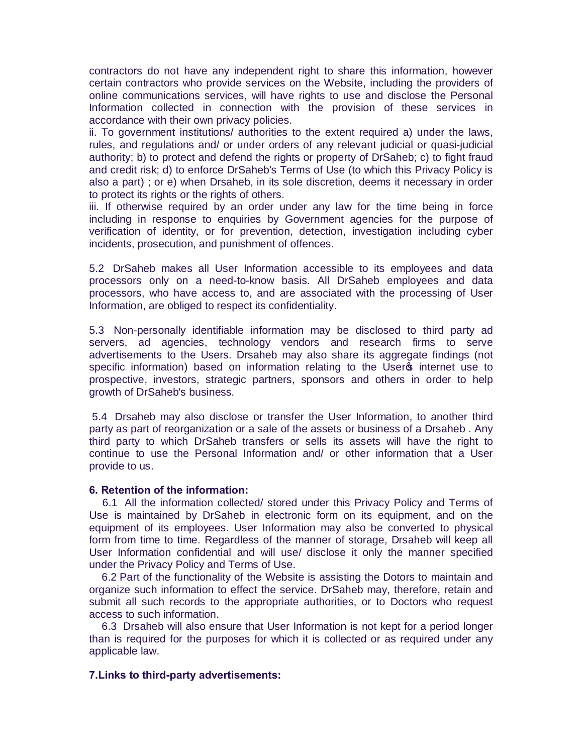contractors do not have any independent right to share this information, however certain contractors who provide services on the Website, including the providers of online communications services, will have rights to use and disclose the Personal Information collected in connection with the provision of these services in accordance with their own privacy policies.

ii. To government institutions/ authorities to the extent required a) under the laws, rules, and regulations and/ or under orders of any relevant judicial or quasi-judicial authority; b) to protect and defend the rights or property of DrSaheb; c) to fight fraud and credit risk; d) to enforce DrSaheb's Terms of Use (to which this Privacy Policy is also a part) ; or e) when Drsaheb, in its sole discretion, deems it necessary in order to protect its rights or the rights of others.

iii. If otherwise required by an order under any law for the time being in force including in response to enquiries by Government agencies for the purpose of verification of identity, or for prevention, detection, investigation including cyber incidents, prosecution, and punishment of offences.

5.2 DrSaheb makes all User Information accessible to its employees and data processors only on a need-to-know basis. All DrSaheb employees and data processors, who have access to, and are associated with the processing of User Information, are obliged to respect its confidentiality.

5.3 Non-personally identifiable information may be disclosed to third party ad servers, ad agencies, technology vendors and research firms to serve advertisements to the Users. Drsaheb may also share its aggregate findings (not specific information) based on information relating to the User internet use to prospective, investors, strategic partners, sponsors and others in order to help growth of DrSaheb's business.

5.4 Drsaheb may also disclose or transfer the User Information, to another third party as part of reorganization or a sale of the assets or business of a Drsaheb . Any third party to which DrSaheb transfers or sells its assets will have the right to continue to use the Personal Information and/ or other information that a User provide to us.

#### **6. Retention of the information:**

6.1 All the information collected/ stored under this Privacy Policy and Terms of Use is maintained by DrSaheb in electronic form on its equipment, and on the equipment of its employees. User Information may also be converted to physical form from time to time. Regardless of the manner of storage, Drsaheb will keep all User Information confidential and will use/ disclose it only the manner specified under the Privacy Policy and Terms of Use.

6.2 Part of the functionality of the Website is assisting the Dotors to maintain and organize such information to effect the service. DrSaheb may, therefore, retain and submit all such records to the appropriate authorities, or to Doctors who request access to such information.

6.3 Drsaheb will also ensure that User Information is not kept for a period longer than is required for the purposes for which it is collected or as required under any applicable law.

#### **7.Links to third-party advertisements:**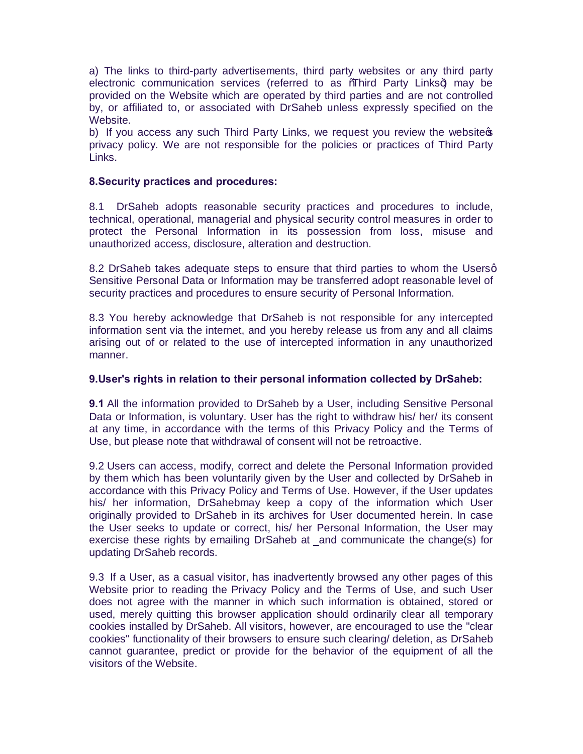a) The links to third-party advertisements, third party websites or any third party electronic communication services (referred to as *M*ahird Party Links+) may be provided on the Website which are operated by third parties and are not controlled by, or affiliated to, or associated with DrSaheb unless expressly specified on the Website.

b) If you access any such Third Party Links, we request you review the website  $\phi$ privacy policy. We are not responsible for the policies or practices of Third Party Links.

## **8.Security practices and procedures:**

8.1 DrSaheb adopts reasonable security practices and procedures to include, technical, operational, managerial and physical security control measures in order to protect the Personal Information in its possession from loss, misuse and unauthorized access, disclosure, alteration and destruction.

8.2 DrSaheb takes adequate steps to ensure that third parties to whom the Usersq Sensitive Personal Data or Information may be transferred adopt reasonable level of security practices and procedures to ensure security of Personal Information.

8.3 You hereby acknowledge that DrSaheb is not responsible for any intercepted information sent via the internet, and you hereby release us from any and all claims arising out of or related to the use of intercepted information in any unauthorized manner.

## **9.User's rights in relation to their personal information collected by DrSaheb:**

**9.1** All the information provided to DrSaheb by a User, including Sensitive Personal Data or Information, is voluntary. User has the right to withdraw his/ her/ its consent at any time, in accordance with the terms of this Privacy Policy and the Terms of Use, but please note that withdrawal of consent will not be retroactive.

9.2 Users can access, modify, correct and delete the Personal Information provided by them which has been voluntarily given by the User and collected by DrSaheb in accordance with this Privacy Policy and Terms of Use. However, if the User updates his/ her information, DrSahebmay keep a copy of the information which User originally provided to DrSaheb in its archives for User documented herein. In case the User seeks to update or correct, his/ her Personal Information, the User may exercise these rights by emailing DrSaheb at and communicate the change(s) for updating DrSaheb records.

9.3 If a User, as a casual visitor, has inadvertently browsed any other pages of this Website prior to reading the Privacy Policy and the Terms of Use, and such User does not agree with the manner in which such information is obtained, stored or used, merely quitting this browser application should ordinarily clear all temporary cookies installed by DrSaheb. All visitors, however, are encouraged to use the "clear cookies" functionality of their browsers to ensure such clearing/ deletion, as DrSaheb cannot guarantee, predict or provide for the behavior of the equipment of all the visitors of the Website.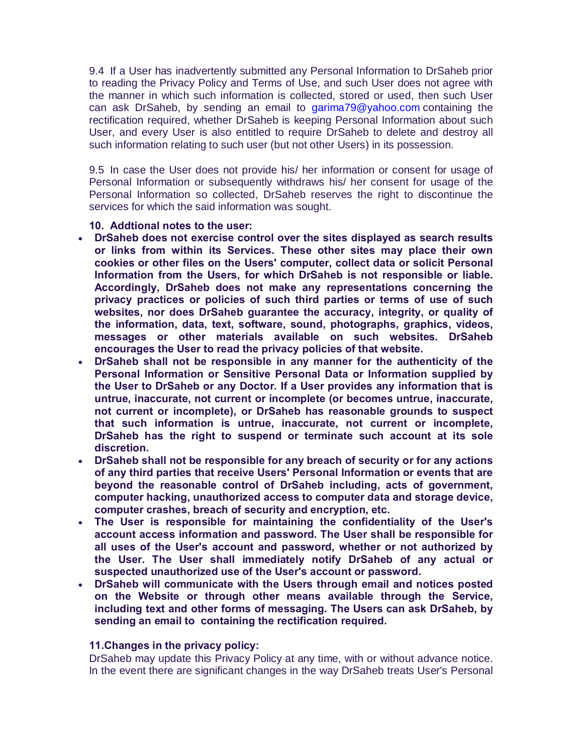9.4 If a User has inadvertently submitted any Personal Information to DrSaheb prior to reading the Privacy Policy and Terms of Use, and such User does not agree with the manner in which such information is collected, stored or used, then such User can ask DrSaheb, by sending an email to [garima79@yahoo.com](mailto:garima79@yahoo.com) containing the rectification required, whether DrSaheb is keeping Personal Information about such User, and every User is also entitled to require DrSaheb to delete and destroy all such information relating to such user (but not other Users) in its possession.

9.5 In case the User does not provide his/ her information or consent for usage of Personal Information or subsequently withdraws his/ her consent for usage of the Personal Information so collected, DrSaheb reserves the right to discontinue the services for which the said information was sought.

## **10. Addtional notes to the user:**

- · **DrSaheb does not exercise control over the sites displayed as search results or links from within its Services. These other sites may place their own cookies or other files on the Users' computer, collect data or solicit Personal Information from the Users, for which DrSaheb is not responsible or liable. Accordingly, DrSaheb does not make any representations concerning the privacy practices or policies of such third parties or terms of use of such websites, nor does DrSaheb guarantee the accuracy, integrity, or quality of the information, data, text, software, sound, photographs, graphics, videos, messages or other materials available on such websites. DrSaheb encourages the User to read the privacy policies of that website.**
- · **DrSaheb shall not be responsible in any manner for the authenticity of the Personal Information or Sensitive Personal Data or Information supplied by the User to DrSaheb or any Doctor. If a User provides any information that is untrue, inaccurate, not current or incomplete (or becomes untrue, inaccurate, not current or incomplete), or DrSaheb has reasonable grounds to suspect that such information is untrue, inaccurate, not current or incomplete, DrSaheb has the right to suspend or terminate such account at its sole discretion.**
- · **DrSaheb shall not be responsible for any breach of security or for any actions of any third parties that receive Users' Personal Information or events that are beyond the reasonable control of DrSaheb including, acts of government, computer hacking, unauthorized access to computer data and storage device, computer crashes, breach of security and encryption, etc.**
- · **The User is responsible for maintaining the confidentiality of the User's account access information and password. The User shall be responsible for all uses of the User's account and password, whether or not authorized by the User. The User shall immediately notify DrSaheb of any actual or suspected unauthorized use of the User's account or password.**
- · **DrSaheb will communicate with the Users through email and notices posted on the Website or through other means available through the Service, including text and other forms of messaging. The Users can ask DrSaheb, by sending an email to containing the rectification required.**

### **11.Changes in the privacy policy:**

DrSaheb may update this Privacy Policy at any time, with or without advance notice. In the event there are significant changes in the way DrSaheb treats User's Personal